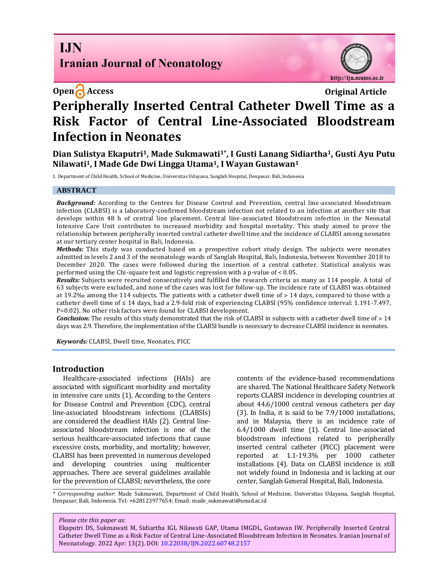# **I.IN Iranian Journal of Neonatology**



# **Open Access Original Article Peripherally Inserted Central Catheter Dwell Time as a Risk Factor of Central Line-Associated Bloodstream Infection in Neonates**

**Dian Sulistya Ekaputri1, Made Sukmawati1\*, I Gusti Lanang Sidiartha1, Gusti Ayu Putu Nilawati1, I Made Gde Dwi Lingga Utama1, I Wayan Gustawan<sup>1</sup>**

1. Department of Child Health, School of Medicine, Universitas Udayana, Sanglah Hospital, Denpasar, Bali, Indonesia

### **ABSTRACT**

*Background:* According to the Centres for Disease Control and Prevention, central line-associated bloodstream infection (CLABSI) is a laboratory-confirmed bloodstream infection not related to an infection at another site that develops within 48 h of central line placement. Central line-associated bloodstream infection in the Neonatal Intensive Care Unit contributes to increased morbidity and hospital mortality. This study aimed to prove the relationship between peripherally inserted central catheter dwell time and the incidence of CLABSI among neonates at our tertiary center hospital in Bali, Indonesia.

*Methods:* This study was conducted based on a prospective cohort study design. The subjects were neonates admitted in levels 2 and 3 of the neonatology wards of Sanglah Hospital, Bali, Indonesia, between November 2018 to December 2020. The cases were followed during the insertion of a central catheter. Statistical analysis was performed using the Chi-square test and logistic regression with a p-value of < 0.05.

*Results:* Subjects were recruited consecutively and fulfilled the research criteria as many as 114 people. A total of 63 subjects were excluded, and none of the cases was lost for follow-up. The incidence rate of CLABSI was obtained at 19.2‰ among the 114 subjects. The patients with a catheter dwell time of  $> 14$  days, compared to those with a catheter dwell time of  $\leq 14$  days, had a 2.9-fold risk of experiencing CLABSI (95% confidence interval: 1.191-7.497, P=0.02). No other risk factors were found for CLABSI development.

*Conclusion:* The results of this study demonstrated that the risk of CLABSI in subjects with a catheter dwell time of > 14 days was 2.9. Therefore, the implementation of the CLABSI bundle is necessary to decrease CLABSI incidence in neonates.

*Keywords:* CLABSI, Dwell time, Neonates, PICC

#### **Introduction**

Healthcare-associated infections (HAIs) are associated with significant morbidity and mortality in intensive care units (1). According to the Centers for Disease Control and Prevention (CDC), central line-associated bloodstream infections (CLABSIs) are considered the deadliest HAIs (2). Central lineassociated bloodstream infection is one of the serious healthcare-associated infections that cause excessive costs, morbidity, and mortality; however, CLABSI has been prevented in numerous developed and developing countries using multicenter approaches. There are several guidelines available for the prevention of CLABSI; nevertheless, the core contents of the evidence-based recommendations are shared. The National Healthcare Safety Network reports CLABSI incidence in developing countries at about 44.6/1000 central venous catheters per day (3). In India, it is said to be 7.9/1000 installations, and in Malaysia, there is an incidence rate of 6.4/1000 dwell time (1). Central line-associated bloodstream infections related to peripherally inserted central catheter (PICC) placement were reported at 1.1-19.3% per 1000 catheter installations (4). Data on CLABSI incidence is still not widely found in Indonesia and is lacking at our center, Sanglah General Hospital, Bali, Indonesia.

*\* Corresponding author*: Made Sukmawati, Department of Child Health, School of Medicine, Universitas Udayana, Sanglah Hospital, Denpasar, Bali, Indonesia. Tel: +628123977654; Email: made\_sukmawati@unud.ac.id

*Please cite this paper as:*

Ekaputri DS, Sukmawati M, Sidiartha IGL Nilawati GAP, Utama IMGDL, Gustawan IW. Peripherally Inserted Central Catheter Dwell Time as a Risk Factor of Central Line-Associated Bloodstream Infection in Neonates. Iranian Journal of Neonatology. 2022 Apr: 13(2). DOI[: 10.22038/IJN.2022.60748.2157](https://ijn.mums.ac.ir/)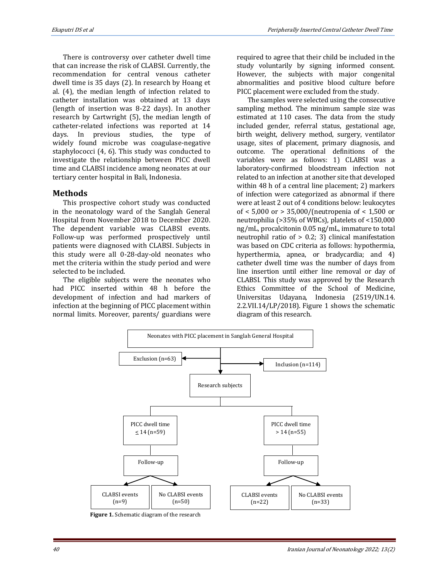There is controversy over catheter dwell time that can increase the risk of CLABSI. Currently, the recommendation for central venous catheter dwell time is 35 days (2). In research by Hoang et al. (4), the median length of infection related to catheter installation was obtained at 13 days (length of insertion was 8-22 days). In another research by Cartwright (5), the median length of catheter-related infections was reported at 14 days. In previous studies, the type of widely found microbe was coagulase-negative staphylococci (4, 6). This study was conducted to investigate the relationship between PICC dwell time and CLABSI incidence among neonates at our tertiary center hospital in Bali, Indonesia.

## **Methods**

This prospective cohort study was conducted in the neonatology ward of the Sanglah General Hospital from November 2018 to December 2020. The dependent variable was CLABSI events. Follow-up was performed prospectively until patients were diagnosed with CLABSI. Subjects in this study were all 0-28-day-old neonates who met the criteria within the study period and were selected to be included.

The eligible subjects were the neonates who had PICC inserted within 48 h before the development of infection and had markers of infection at the beginning of PICC placement within normal limits. Moreover, parents/ guardians were required to agree that their child be included in the study voluntarily by signing informed consent. However, the subjects with major congenital abnormalities and positive blood culture before PICC placement were excluded from the study.

The samples were selected using the consecutive sampling method. The minimum sample size was estimated at 110 cases. The data from the study included gender, referral status, gestational age, birth weight, delivery method, surgery, ventilator usage, sites of placement, primary diagnosis, and outcome. The operational definitions of the variables were as follows: 1) CLABSI was a laboratory-confirmed bloodstream infection not related to an infection at another site that developed within 48 h of a central line placement; 2) markers of infection were categorized as abnormal if there were at least 2 out of 4 conditions below: leukocytes of < 5,000 or > 35,000/(neutropenia of < 1,500 or neutrophilia (>35% of WBCs), platelets of <150,000 ng/mL, procalcitonin 0.05 ng/mL, immature to total neutrophil ratio of > 0.2; 3) clinical manifestation was based on CDC criteria as follows: hypothermia, hyperthermia, apnea, or bradycardia; and 4) catheter dwell time was the number of days from line insertion until either line removal or day of CLABSI. This study was approved by the Research Ethics Committee of the School of Medicine, Universitas Udayana, Indonesia (2519/UN.14. 2.2.VII.14/LP/2018). Figure 1 shows the schematic diagram of this research.



 **Figure 1.** Schematic diagram of the research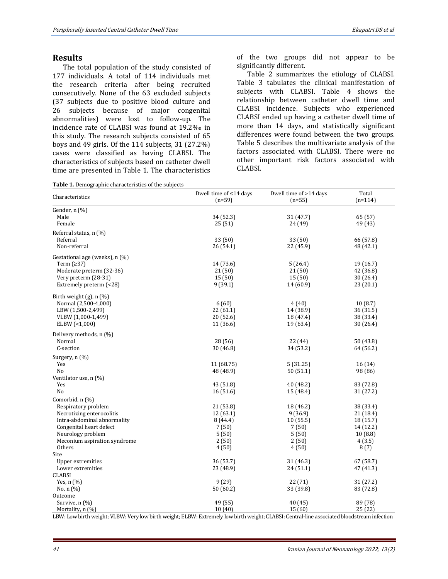### **Results**

The total population of the study consisted of 177 individuals. A total of 114 individuals met the research criteria after being recruited consecutively. None of the 63 excluded subjects (37 subjects due to positive blood culture and 26 subjects because of major congenital abnormalities) were lost to follow-up. The incidence rate of CLABSI was found at 19.2‰ in this study. The research subjects consisted of 65 boys and 49 girls. Of the 114 subjects, 31 (27.2%) cases were classified as having CLABSI. The characteristics of subjects based on catheter dwell time are presented in Table 1. The characteristics

**Table 1.** Demographic characteristics of the subjects

of the two groups did not appear to be significantly different.

Table 2 summarizes the etiology of CLABSI. Table 3 tabulates the clinical manifestation of subjects with CLABSI. Table 4 shows the relationship between catheter dwell time and CLABSI incidence. Subjects who experienced CLABSI ended up having a catheter dwell time of more than 14 days, and statistically significant differences were found between the two groups. Table 5 describes the multivariate analysis of the factors associated with CLABSI. There were no other important risk factors associated with CLABSI.

| Characteristics                | Dwell time of $\leq$ 14 days<br>$(n=59)$ | Dwell time of >14 days<br>$(n=55)$ | Total<br>$(n=114)$ |
|--------------------------------|------------------------------------------|------------------------------------|--------------------|
| Gender, n (%)                  |                                          |                                    |                    |
| Male                           | 34 (52.3)                                | 31 (47.7)                          | 65 (57)            |
| Female                         | 25(51)                                   | 24 (49)                            | 49 (43)            |
| Referral status, n (%)         |                                          |                                    |                    |
| Referral                       | 33 (50)                                  | 33 (50)                            | 66 (57.8)          |
| Non-referral                   | 26 (54.1)                                | 22 (45.9)                          | 48 (42.1)          |
| Gestational age (weeks), n (%) |                                          |                                    |                    |
| Term $(≥37)$                   | 14 (73.6)                                | 5(26.4)                            | 19 (16.7)          |
| Moderate preterm (32-36)       | 21 (50)                                  | 21 (50)                            | 42 (36.8)          |
| Very preterm (28-31)           | 15(50)                                   | 15(50)                             | 30 (26.4)          |
| Extremely preterm (<28)        | 9(39.1)                                  | 14 (60.9)                          | 23(20.1)           |
|                                |                                          |                                    |                    |
| Birth weight $(g)$ , n $(\%)$  |                                          |                                    |                    |
| Normal (2,500-4,000)           | 6(60)                                    | 4(40)                              | 10(8.7)            |
| LBW (1,500-2,499)              | 22(61.1)                                 | 14 (38.9)                          | 36(31.5)           |
| VLBW (1,000-1,499)             | 20(52.6)                                 | 18 (47.4)                          | 38 (33.4)          |
| ELBW (<1,000)                  | 11 (36.6)                                | 19 (63.4)                          | 30 (26.4)          |
| Delivery methods, n (%)        |                                          |                                    |                    |
| Normal                         | 28(56)                                   | 22(44)                             | 50 (43.8)          |
| C-section                      | 30 (46.8)                                | 34 (53.2)                          | 64 (56.2)          |
| Surgery, n (%)                 |                                          |                                    |                    |
| Yes                            | 11 (68.75)                               | 5(31.25)                           | 16(14)             |
| No                             | 48 (48.9)                                | 50(51.1)                           | 98 (86)            |
| Ventilator use, n (%)          |                                          |                                    |                    |
| Yes                            | 43 (51.8)                                | 40 (48.2)                          | 83 (72.8)          |
| No                             | 16(51.6)                                 | 15 (48.4)                          | 31 (27.2)          |
| Comorbid, n (%)                |                                          |                                    |                    |
| Respiratory problem            | 21(53.8)                                 | 18 (46.2)                          | 38 (33.4)          |
| Necrotizing enterocolitis      | 12(63.1)                                 | 9(36.9)                            | 21 (18.4)          |
| Intra-abdominal abnormality    | 8(44.4)                                  | 10(55.5)                           | 18 (15.7)          |
| Congenital heart defect        | 7(50)                                    | 7(50)                              | 14 (12.2)          |
| Neurology problem              | 5(50)                                    | 5(50)                              | 10(8.8)            |
| Meconium aspiration syndrome   | 2(50)                                    | 2(50)                              | 4(3.5)             |
| Others                         | 4(50)                                    | 4(50)                              | 8(7)               |
| Site                           |                                          |                                    |                    |
| Upper extremities              | 36 (53.7)                                | 31 (46.3)                          | 67 (58.7)          |
| Lower extremities              | 23 (48.9)                                | 24 (51.1)                          | 47 (41.3)          |
| <b>CLABSI</b>                  |                                          |                                    |                    |
| Yes, $n$ $(\%)$                | 9(29)                                    | 22 (71)                            | 31 (27.2)          |
| No, $n$ $(\%)$                 | 50 (60.2)                                | 33 (39.8)                          | 83 (72.8)          |
| Outcome                        |                                          |                                    |                    |
| Survive, n (%)                 | 49 (55)                                  | 40 (45)                            | 89 (78)            |
| Mortality, n (%)               | 10(40)                                   | 15(60)                             | 25(22)             |

LBW: Low birth weight; VLBW: Very low birth weight; ELBW: Extremely low birth weight; CLABSI: Central-line associated bloodstream infection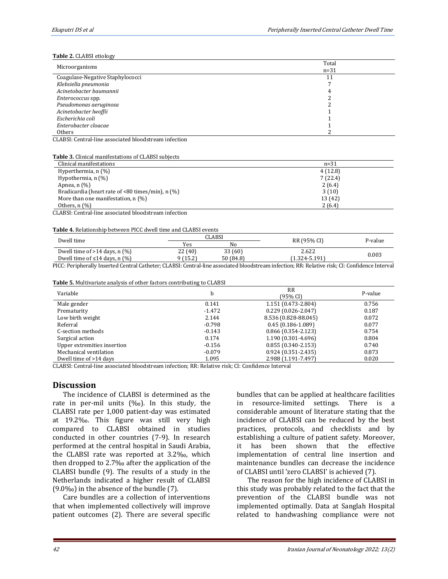#### **Table 2.** CLABSI etiology

|                                  | Total  |
|----------------------------------|--------|
| Microorganisms                   | $n=31$ |
| Coagulase-Negative Staphylococci | 11     |
| Klebsiella pneumonia             |        |
| Acinetobacter baumannii          |        |
| Enterococcus spp.                |        |
| Pseudomonas aeruginosa           |        |
| Acinetobacter lwoffii            |        |
| Escherichia coli                 |        |
| Enterobacter cloacae             |        |
| <b>Others</b>                    |        |

CLABSI: Central-line associated bloodstream infection

**Table 3.** Clinical manifestations of CLABSI subjects

| Clinical manifestations                                | $n = 31$ |
|--------------------------------------------------------|----------|
| Hyperthermia, $n$ (%)                                  | 4(12.8)  |
| Hypothermia, $n$ $(\%)$                                | 7(22.4)  |
| Apnea, $n$ $(\%)$                                      | 2(6.4)   |
| Bradicardia (heart rate of $\leq 80$ times/min), n (%) | 3(10)    |
| More than one manifestation, $n$ (%)                   | 13 (42)  |
| Others, $n$ $\left(\frac{9}{6}\right)$                 | 2(6.4)   |
| CLADCL Control line accordited bloodstroom infection   |          |

CLABSI: Central-line associated bloodstream infection

#### **Table 4.** Relationship between PICC dwell time and CLABSI events

| Dwell time                                                                                                                                   |          | CLABSI    | RR (95% CI)   |         |
|----------------------------------------------------------------------------------------------------------------------------------------------|----------|-----------|---------------|---------|
|                                                                                                                                              | Yes      | Nο        |               | P-value |
| Dwell time of $>14$ days, n $(\%)$                                                                                                           | 22 (40)  | 33 (60)   | 2.622         | 0.003   |
| Dwell time of $\leq$ 14 days. n (%)                                                                                                          | 9 (15.2) | 50 (84.8) | (1.324-5.191) |         |
| DICC, Davinhavally Incorted Captual Cathotan, CLADCL Captual line according bloodgtycom infostion, DD, Delative violy CL Captidones Internal |          |           |               |         |

PICC: Peripherally Inserted Central Catheter; CLABSI: Central-line associated bloodstream infection; RR: Relative risk; CI: Confidence Interval

**Table 5.** Multivariate analysis of other factors contributing to CLABSI

| Variable                    | h        | <b>RR</b><br>(95% CI)  | P-value |
|-----------------------------|----------|------------------------|---------|
| Male gender                 | 0.141    | 1.151 (0.473-2.804)    | 0.756   |
| Prematurity                 | $-1.472$ | $0.229(0.026 - 2.047)$ | 0.187   |
| Low birth weight            | 2.144    | 8.536 (0.828-88.045)   | 0.072   |
| Referral                    | $-0.798$ | $0.45(0.186 - 1.089)$  | 0.077   |
| C-section methods           | $-0.143$ | $0.866$ (0.354-2.123)  | 0.754   |
| Surgical action             | 0.174    | 1.190 (0.301-4.696)    | 0.804   |
| Upper extremities insertion | $-0.156$ | $0.855(0.340 - 2.153)$ | 0.740   |
| Mechanical ventilation      | $-0.079$ | $0.924(0.351 - 2.435)$ | 0.873   |
| Dwell time of >14 days      | 1.095    | 2.988 (1.191-7.497)    | 0.020   |

CLABSI: Central-line associated bloodstream infection; RR: Relative risk; CI: Confidence Interval

## **Discussion**

The incidence of CLABSI is determined as the rate in per-mil units (‰). In this study, the CLABSI rate per 1,000 patient-day was estimated at 19.2‰. This figure was still very high compared to CLABSI obtained in studies conducted in other countries (7-9). In research performed at the central hospital in Saudi Arabia, the CLABSI rate was reported at 3.2‰, which then dropped to 2.7‰ after the application of the CLABSI bundle (9). The results of a study in the Netherlands indicated a higher result of CLABSI (9.0‰) in the absence of the bundle (7).

Care bundles are a collection of interventions that when implemented collectively will improve patient outcomes (2). There are several specific bundles that can be applied at healthcare facilities in resource-limited settings. There is a considerable amount of literature stating that the incidence of CLABSI can be reduced by the best practices, protocols, and checklists and by establishing a culture of patient safety. Moreover, it has been shown that the effective implementation of central line insertion and maintenance bundles can decrease the incidence of CLABSI until 'zero CLABSI' is achieved (7).

The reason for the high incidence of CLABSI in this study was probably related to the fact that the prevention of the CLABSI bundle was not implemented optimally. Data at Sanglah Hospital related to handwashing compliance were not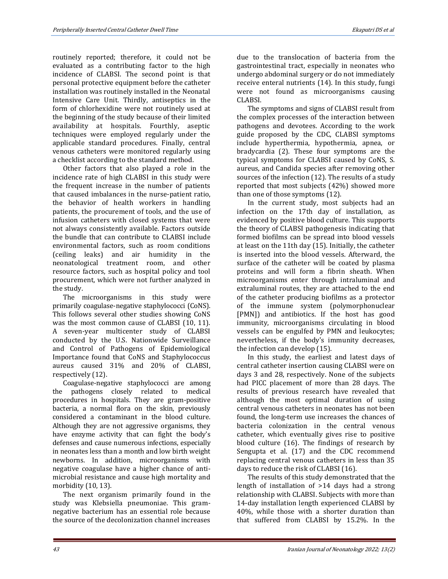routinely reported; therefore, it could not be evaluated as a contributing factor to the high incidence of CLABSI. The second point is that personal protective equipment before the catheter installation was routinely installed in the Neonatal Intensive Care Unit. Thirdly, antiseptics in the form of chlorhexidine were not routinely used at the beginning of the study because of their limited availability at hospitals. Fourthly, aseptic techniques were employed regularly under the applicable standard procedures. Finally, central venous catheters were monitored regularly using a checklist according to the standard method.

Other factors that also played a role in the incidence rate of high CLABSI in this study were the frequent increase in the number of patients that caused imbalances in the nurse-patient ratio, the behavior of health workers in handling patients, the procurement of tools, and the use of infusion catheters with closed systems that were not always consistently available. Factors outside the bundle that can contribute to CLABSI include environmental factors, such as room conditions (ceiling leaks) and air humidity in the neonatological treatment room, and other resource factors, such as hospital policy and tool procurement, which were not further analyzed in the study.

The microorganisms in this study were primarily coagulase-negative staphylococci (CoNS). This follows several other studies showing CoNS was the most common cause of CLABSI (10, 11). A seven-year multicenter study of CLABSI conducted by the U.S. Nationwide Surveillance and Control of Pathogens of Epidemiological Importance found that CoNS and Staphylococcus aureus caused 31% and 20% of CLABSI, respectively (12).

Coagulase-negative staphylococci are among the pathogens closely related to medical procedures in hospitals. They are gram-positive bacteria, a normal flora on the skin, previously considered a contaminant in the blood culture. Although they are not aggressive organisms, they have enzyme activity that can fight the body's defenses and cause numerous infections, especially in neonates less than a month and low birth weight newborns. In addition, microorganisms with negative coagulase have a higher chance of antimicrobial resistance and cause high mortality and morbidity (10, 13).

The next organism primarily found in the study was Klebsiella pneumoniae. This gramnegative bacterium has an essential role because the source of the decolonization channel increases

due to the translocation of bacteria from the gastrointestinal tract, especially in neonates who undergo abdominal surgery or do not immediately receive enteral nutrients (14). In this study, fungi were not found as microorganisms causing CLABSI.

The symptoms and signs of CLABSI result from the complex processes of the interaction between pathogens and devotees. According to the work guide proposed by the CDC, CLABSI symptoms include hyperthermia, hypothermia, apnea, or bradycardia (2). These four symptoms are the typical symptoms for CLABSI caused by CoNS, S. aureus, and Candida species after removing other sources of the infection (12). The results of a study reported that most subjects (42%) showed more than one of those symptoms (12).

In the current study, most subjects had an infection on the 17th day of installation, as evidenced by positive blood culture. This supports the theory of CLABSI pathogenesis indicating that formed biofilms can be spread into blood vessels at least on the 11th day (15). Initially, the catheter is inserted into the blood vessels. Afterward, the surface of the catheter will be coated by plasma proteins and will form a fibrin sheath. When microorganisms enter through intraluminal and extraluminal routes, they are attached to the end of the catheter producing biofilms as a protector of the immune system (polymorphonuclear [PMN]) and antibiotics. If the host has good immunity, microorganisms circulating in blood vessels can be engulfed by PMN and leukocytes; nevertheless, if the body's immunity decreases, the infection can develop (15).

In this study, the earliest and latest days of central catheter insertion causing CLABSI were on days 3 and 28, respectively. None of the subjects had PICC placement of more than 28 days. The results of previous research have revealed that although the most optimal duration of using central venous catheters in neonates has not been found, the long-term use increases the chances of bacteria colonization in the central venous catheter, which eventually gives rise to positive blood culture (16). The findings of research by Sengupta et al. (17) and the CDC recommend replacing central venous catheters in less than 35 days to reduce the risk of CLABSI (16).

The results of this study demonstrated that the length of installation of >14 days had a strong relationship with CLABSI. Subjects with more than 14-day installation length experienced CLABSI by 40%, while those with a shorter duration than that suffered from CLABSI by 15.2%. In the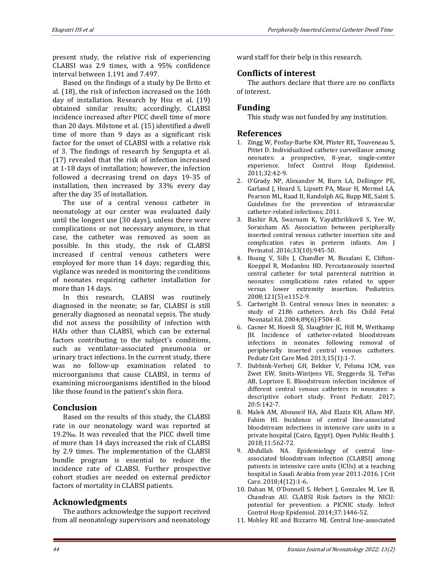present study, the relative risk of experiencing CLABSI was 2.9 times, with a 95% confidence interval between 1.191 and 7.497.

Based on the findings of a study by De Brito et al. (18), the risk of infection increased on the 16th day of installation. Research by Hsu et al. (19) obtained similar results; accordingly, CLABSI incidence increased after PICC dwell time of more than 20 days. Milstone et al. (15) identified a dwell time of more than 9 days as a significant risk factor for the onset of CLABSI with a relative risk of 3. The findings of research by Sengupta et al. (17) revealed that the risk of infection increased at 1-18 days of installation; however, the infection followed a decreasing trend on days 19-35 of installation, then increased by 33% every day after the day 35 of installation.

The use of a central venous catheter in neonatology at our center was evaluated daily until the longest use (30 days), unless there were complications or not necessary anymore, in that case, the catheter was removed as soon as possible. In this study, the risk of CLABSI increased if central venous catheters were employed for more than 14 days; regarding this, vigilance was needed in monitoring the conditions of neonates requiring catheter installation for more than 14 days.

In this research, CLABSI was routinely diagnosed in the neonate; so far, CLABSI is still generally diagnosed as neonatal sepsis. The study did not assess the possibility of infection with HAIs other than CLABSI, which can be external factors contributing to the subject's conditions, such as ventilator-associated pneumonia or urinary tract infections. In the current study, there was no follow-up examination related to microorganisms that cause CLABSI, in terms of examining microorganisms identified in the blood like those found in the patient's skin flora.

## **Conclusion**

Based on the results of this study, the CLABSI rate in our neonatology ward was reported at 19.2‰. It was revealed that the PICC dwell time of more than 14 days increased the risk of CLABSI by 2.9 times. The implementation of the CLABSI bundle program is essential to reduce the incidence rate of CLABSI. Further prospective cohort studies are needed on external predictor factors of mortality in CLABSI patients.

# **Acknowledgments**

The authors acknowledge the support received from all neonatology supervisors and neonatology ward staff for their help in this research.

# **Conflicts of interest**

The authors declare that there are no conflicts of interest.

# **Funding**

This study was not funded by any institution.

## **References**

- 1. Zingg W, Posfay-Barbe KM, Pfister RE, Touveneau S, Pittet D. Individualized catheter surveillance among neonates: a prospective, 8-year, single-center experience. Infect Control Hosp Epidemiol. 2011;32:42-9.
- 2. O'Grady NP, Alexander M, Burn LA, Dellinger PE, Garland J, Heard S, Lipsett PA, Maur H, Mermel LA, Pearson ML, Raad II, Randolph AG, Rupp ME, Saint S. Guidelines for the prevention of intravascular catheter-related infections; 2011.
- 3. Bashir RA, Swarnam K, Vayalthrikkovil S, Yee W, Soraisham AS. Association between peripherally inserted central venous catheter insertion site and complication rates in preterm infants. Am J Perinatol. 2016;33(10):945-50.
- 4. Hoang V, Sills J, Chandler M, Busalani E, Clifton-Koeppel R, Modanlou HD. Percutaneously inserted central catheter for total parenteral nutrition in neonates: complications rates related to upper versus lower extremity insertion. Pediatrics. 2008;121(5):e1152-9.
- 5. Cartwright D. Central venous lines in neonates: a study of 2186 catheters. Arch Dis Child Fetal Neonatal Ed. 2004;89(6):F504–8.
- 6. Casner M, Hoesli SJ, Slaughter JC, Hill M, Weitkamp JH. Incidence of catheter-related bloodstream infections in neonates following removal of peripherally inserted central venous catheters. Pediatr Crit Care Med. 2013;15(1):1-7.
- 7. Dubbink-Verheij GH, Bekker V, Pelsma ICM, van Zwet EW, Smits-Wintjens VE, Steggerda SJ, TePas AB, Lopriore E. Bloodstream infection incidence of different central venous catheters in neonates: a descriptive cohort study. Front Pediatr. 2017; 20:5:142-7.
- 8. Malek AM, Abouseif HA, Abd Elaziz KH, Allam MF, Fahim HI. Incidence of central line-associated bloodstream infections in intensive care units in a private hospital (Cairo, Egypt). Open Public Health J. 2018;11:562-72.
- 9. Abdullah NA. Epidemiology of central lineassociated bloodstream infection (CLABSI) among patients in intensive care units (ICUs) at a teaching hospital in Saudi Arabia from year 2011-2016. J Crit Care. 2018;4(12):1-6.
- 10. Dahan M, O'Donnell S, Hebert J, Gonzales M, Lee B, Chandran AU. CLABSI Risk factors in the NICU: potential for prevention: a PICNIC study. Infect Control Hosp Epidemiol. 2014;37:1446-52.
- 11. Mobley RE and Bizzarro MJ. Central line-associated